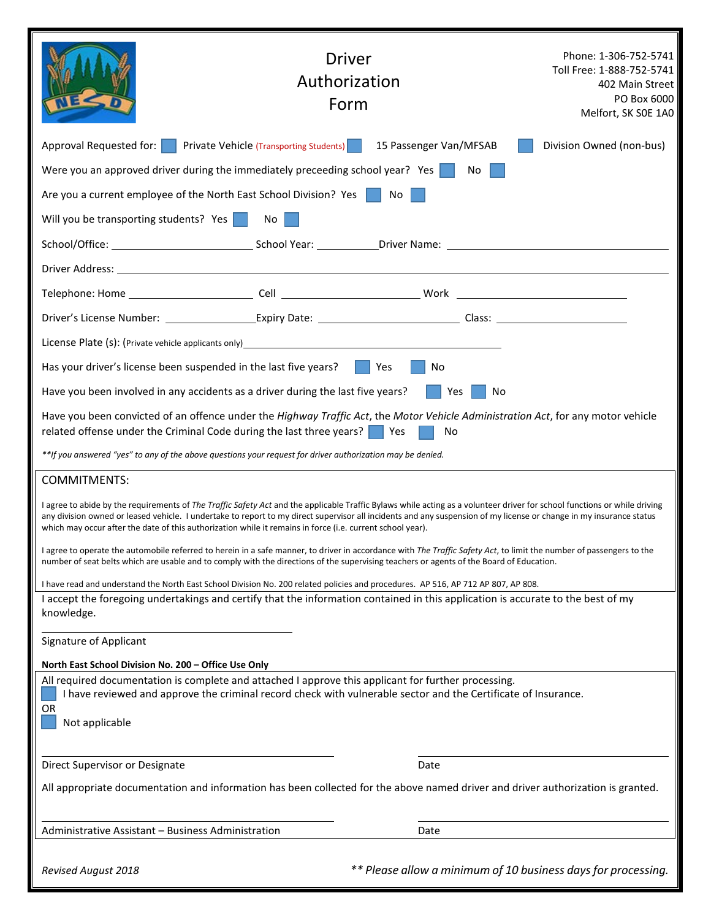|                                                                                                                                                                                                                                                                                                                  | Driver<br>Authorization<br>Form                                                                                                                                                                                                                                                                                                                                                                                                                                |                                                               | Phone: 1-306-752-5741<br>Toll Free: 1-888-752-5741<br>402 Main Street<br>PO Box 6000<br>Melfort, SK SOE 1A0 |  |
|------------------------------------------------------------------------------------------------------------------------------------------------------------------------------------------------------------------------------------------------------------------------------------------------------------------|----------------------------------------------------------------------------------------------------------------------------------------------------------------------------------------------------------------------------------------------------------------------------------------------------------------------------------------------------------------------------------------------------------------------------------------------------------------|---------------------------------------------------------------|-------------------------------------------------------------------------------------------------------------|--|
| Approval Requested for:<br>a sa                                                                                                                                                                                                                                                                                  | <b>Private Vehicle (Transporting Students)</b>                                                                                                                                                                                                                                                                                                                                                                                                                 | 15 Passenger Van/MFSAB                                        | Division Owned (non-bus)                                                                                    |  |
|                                                                                                                                                                                                                                                                                                                  | Were you an approved driver during the immediately preceeding school year? Yes                                                                                                                                                                                                                                                                                                                                                                                 | No                                                            |                                                                                                             |  |
|                                                                                                                                                                                                                                                                                                                  | Are you a current employee of the North East School Division? Yes   No                                                                                                                                                                                                                                                                                                                                                                                         |                                                               |                                                                                                             |  |
| Will you be transporting students? Yes                                                                                                                                                                                                                                                                           | No                                                                                                                                                                                                                                                                                                                                                                                                                                                             |                                                               |                                                                                                             |  |
|                                                                                                                                                                                                                                                                                                                  |                                                                                                                                                                                                                                                                                                                                                                                                                                                                |                                                               |                                                                                                             |  |
|                                                                                                                                                                                                                                                                                                                  |                                                                                                                                                                                                                                                                                                                                                                                                                                                                |                                                               |                                                                                                             |  |
|                                                                                                                                                                                                                                                                                                                  |                                                                                                                                                                                                                                                                                                                                                                                                                                                                |                                                               |                                                                                                             |  |
|                                                                                                                                                                                                                                                                                                                  |                                                                                                                                                                                                                                                                                                                                                                                                                                                                |                                                               |                                                                                                             |  |
|                                                                                                                                                                                                                                                                                                                  |                                                                                                                                                                                                                                                                                                                                                                                                                                                                |                                                               |                                                                                                             |  |
| Has your driver's license been suspended in the last five years? $\ \cdot\ $<br>Yes<br>No                                                                                                                                                                                                                        |                                                                                                                                                                                                                                                                                                                                                                                                                                                                |                                                               |                                                                                                             |  |
| Have you been involved in any accidents as a driver during the last five years?<br>Yes<br>No                                                                                                                                                                                                                     |                                                                                                                                                                                                                                                                                                                                                                                                                                                                |                                                               |                                                                                                             |  |
|                                                                                                                                                                                                                                                                                                                  | Have you been convicted of an offence under the Highway Traffic Act, the Motor Vehicle Administration Act, for any motor vehicle<br>related offense under the Criminal Code during the last three years?   Yes                                                                                                                                                                                                                                                 | No                                                            |                                                                                                             |  |
|                                                                                                                                                                                                                                                                                                                  | **If you answered "yes" to any of the above questions your request for driver authorization may be denied.                                                                                                                                                                                                                                                                                                                                                     |                                                               |                                                                                                             |  |
| <b>COMMITMENTS:</b>                                                                                                                                                                                                                                                                                              |                                                                                                                                                                                                                                                                                                                                                                                                                                                                |                                                               |                                                                                                             |  |
|                                                                                                                                                                                                                                                                                                                  | I agree to abide by the requirements of The Traffic Safety Act and the applicable Traffic Bylaws while acting as a volunteer driver for school functions or while driving<br>any division owned or leased vehicle. I undertake to report to my direct supervisor all incidents and any suspension of my license or change in my insurance status<br>which may occur after the date of this authorization while it remains in force (i.e. current school year). |                                                               |                                                                                                             |  |
| I agree to operate the automobile referred to herein in a safe manner, to driver in accordance with The Traffic Safety Act, to limit the number of passengers to the<br>number of seat belts which are usable and to comply with the directions of the supervising teachers or agents of the Board of Education. |                                                                                                                                                                                                                                                                                                                                                                                                                                                                |                                                               |                                                                                                             |  |
|                                                                                                                                                                                                                                                                                                                  | I have read and understand the North East School Division No. 200 related policies and procedures. AP 516, AP 712 AP 807, AP 808.                                                                                                                                                                                                                                                                                                                              |                                                               |                                                                                                             |  |
| I accept the foregoing undertakings and certify that the information contained in this application is accurate to the best of my<br>knowledge.                                                                                                                                                                   |                                                                                                                                                                                                                                                                                                                                                                                                                                                                |                                                               |                                                                                                             |  |
| Signature of Applicant                                                                                                                                                                                                                                                                                           |                                                                                                                                                                                                                                                                                                                                                                                                                                                                |                                                               |                                                                                                             |  |
| North East School Division No. 200 - Office Use Only                                                                                                                                                                                                                                                             |                                                                                                                                                                                                                                                                                                                                                                                                                                                                |                                                               |                                                                                                             |  |
| OR<br>Not applicable                                                                                                                                                                                                                                                                                             | All required documentation is complete and attached I approve this applicant for further processing.<br>I have reviewed and approve the criminal record check with vulnerable sector and the Certificate of Insurance.                                                                                                                                                                                                                                         |                                                               |                                                                                                             |  |
|                                                                                                                                                                                                                                                                                                                  |                                                                                                                                                                                                                                                                                                                                                                                                                                                                |                                                               |                                                                                                             |  |
| Direct Supervisor or Designate                                                                                                                                                                                                                                                                                   |                                                                                                                                                                                                                                                                                                                                                                                                                                                                | Date                                                          |                                                                                                             |  |
|                                                                                                                                                                                                                                                                                                                  | All appropriate documentation and information has been collected for the above named driver and driver authorization is granted.                                                                                                                                                                                                                                                                                                                               |                                                               |                                                                                                             |  |
| Administrative Assistant - Business Administration                                                                                                                                                                                                                                                               |                                                                                                                                                                                                                                                                                                                                                                                                                                                                | Date                                                          |                                                                                                             |  |
| Revised August 2018                                                                                                                                                                                                                                                                                              |                                                                                                                                                                                                                                                                                                                                                                                                                                                                | ** Please allow a minimum of 10 business days for processing. |                                                                                                             |  |